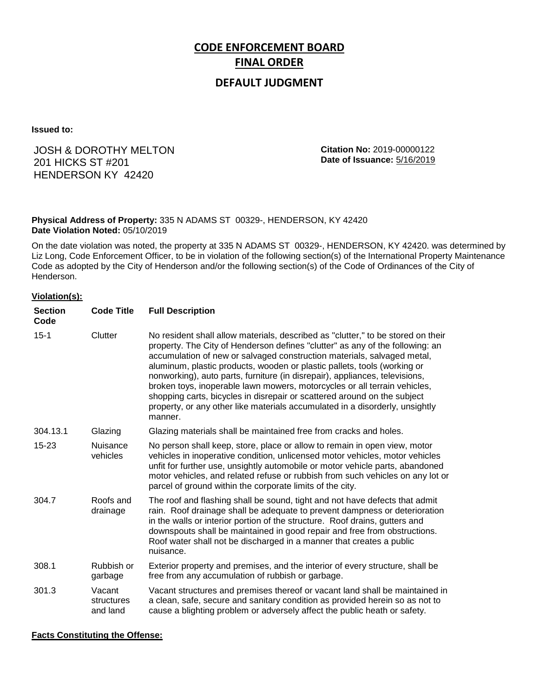# **CODE ENFORCEMENT BOARD FINAL ORDER**

## **DEFAULT JUDGMENT**

**Issued to:**

## JOSH & DOROTHY MELTON 201 HICKS ST #201 HENDERSON KY 42420

**Citation No:** 2019-00000122 **Date of Issuance:** 5/16/2019

#### **Physical Address of Property:** 335 N ADAMS ST 00329-, HENDERSON, KY 42420 **Date Violation Noted:** 05/10/2019

On the date violation was noted, the property at 335 N ADAMS ST 00329-, HENDERSON, KY 42420. was determined by Liz Long, Code Enforcement Officer, to be in violation of the following section(s) of the International Property Maintenance Code as adopted by the City of Henderson and/or the following section(s) of the Code of Ordinances of the City of Henderson.

#### **Violation(s):**

| <b>Section</b><br>Code | <b>Code Title</b>                | <b>Full Description</b>                                                                                                                                                                                                                                                                                                                                                                                                                                                                                                                                                                                                                                     |
|------------------------|----------------------------------|-------------------------------------------------------------------------------------------------------------------------------------------------------------------------------------------------------------------------------------------------------------------------------------------------------------------------------------------------------------------------------------------------------------------------------------------------------------------------------------------------------------------------------------------------------------------------------------------------------------------------------------------------------------|
| $15 - 1$               | Clutter                          | No resident shall allow materials, described as "clutter," to be stored on their<br>property. The City of Henderson defines "clutter" as any of the following: an<br>accumulation of new or salvaged construction materials, salvaged metal,<br>aluminum, plastic products, wooden or plastic pallets, tools (working or<br>nonworking), auto parts, furniture (in disrepair), appliances, televisions,<br>broken toys, inoperable lawn mowers, motorcycles or all terrain vehicles,<br>shopping carts, bicycles in disrepair or scattered around on the subject<br>property, or any other like materials accumulated in a disorderly, unsightly<br>manner. |
| 304.13.1               | Glazing                          | Glazing materials shall be maintained free from cracks and holes.                                                                                                                                                                                                                                                                                                                                                                                                                                                                                                                                                                                           |
| 15-23                  | <b>Nuisance</b><br>vehicles      | No person shall keep, store, place or allow to remain in open view, motor<br>vehicles in inoperative condition, unlicensed motor vehicles, motor vehicles<br>unfit for further use, unsightly automobile or motor vehicle parts, abandoned<br>motor vehicles, and related refuse or rubbish from such vehicles on any lot or<br>parcel of ground within the corporate limits of the city.                                                                                                                                                                                                                                                                   |
| 304.7                  | Roofs and<br>drainage            | The roof and flashing shall be sound, tight and not have defects that admit<br>rain. Roof drainage shall be adequate to prevent dampness or deterioration<br>in the walls or interior portion of the structure. Roof drains, gutters and<br>downspouts shall be maintained in good repair and free from obstructions.<br>Roof water shall not be discharged in a manner that creates a public<br>nuisance.                                                                                                                                                                                                                                                  |
| 308.1                  | Rubbish or<br>garbage            | Exterior property and premises, and the interior of every structure, shall be<br>free from any accumulation of rubbish or garbage.                                                                                                                                                                                                                                                                                                                                                                                                                                                                                                                          |
| 301.3                  | Vacant<br>structures<br>and land | Vacant structures and premises thereof or vacant land shall be maintained in<br>a clean, safe, secure and sanitary condition as provided herein so as not to<br>cause a blighting problem or adversely affect the public heath or safety.                                                                                                                                                                                                                                                                                                                                                                                                                   |

#### **Facts Constituting the Offense:**